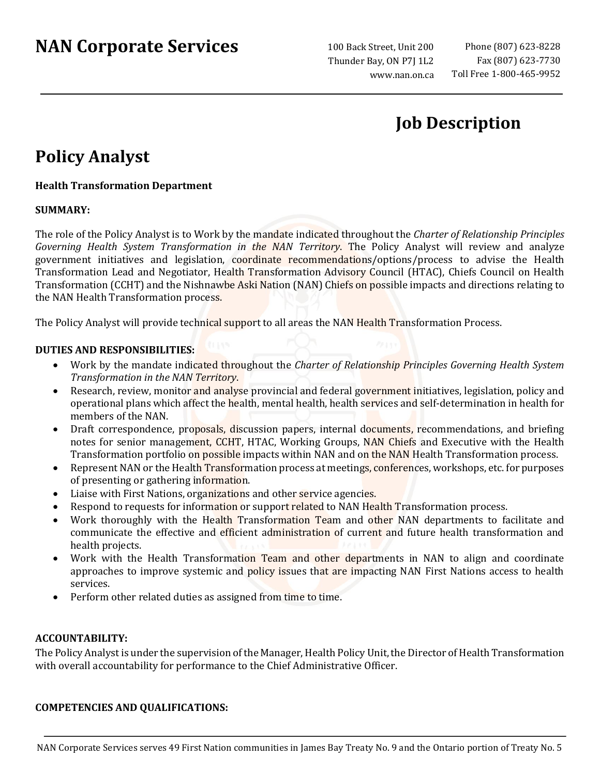# **NAN Corporate Services**

100 Back Street, Unit 200 Thunder Bay, ON P7J 1L2 www.nan.on.ca

### **Job Description**

## **Policy Analyst**

### **Health Transformation Department**

#### **SUMMARY:**

The role of the Policy Analyst is to Work by the mandate indicated throughout the *Charter of Relationship Principles Governing Health System Transformation in the NAN Territory*. The Policy Analyst will review and analyze government initiatives and legislation, coordinate recommendations/options/process to advise the Health Transformation Lead and Negotiator, Health Transformation Advisory Council (HTAC), Chiefs Council on Health Transformation (CCHT) and the Nishnawbe Aski Nation (NAN) Chiefs on possible impacts and directions relating to the NAN Health Transformation process.

The Policy Analyst will provide technical support to all areas the NAN Health Transformation Process.

#### **DUTIES AND RESPONSIBILITIES:**

- Work by the mandate indicated throughout the *Charter of Relationship Principles Governing Health System Transformation in the NAN Territory*.
- Research, review, monitor and analyse provincial and federal government initiatives, legislation, policy and operational plans which affect the health, mental health, health services and self-determination in health for members of the NAN.
- Draft correspondence, proposals, discussion papers, internal documents, recommendations, and briefing notes for senior management, CCHT, HTAC, Working Groups, NAN Chiefs and Executive with the Health Transformation portfolio on possible impacts within NAN and on the NAN Health Transformation process.
- Represent NAN or the Health Transformation process at meetings, conferences, workshops, etc. for purposes of presenting or gathering information.
- Liaise with First Nations, organizations and other service agencies.
- Respond to requests for information or support related to NAN Health Transformation process.
- Work thoroughly with the Health Transformation Team and other NAN departments to facilitate and communicate the effective and efficient administration of current and future health transformation and health projects.
- Work with the Health Transformation Team and other departments in NAN to align and coordinate approaches to improve systemic and policy issues that are impacting NAN First Nations access to health services.
- Perform other related duties as assigned from time to time.

#### **ACCOUNTABILITY:**

The Policy Analyst is under the supervision of the Manager, Health Policy Unit, the Director of Health Transformation with overall accountability for performance to the Chief Administrative Officer.

#### **COMPETENCIES AND QUALIFICATIONS:**